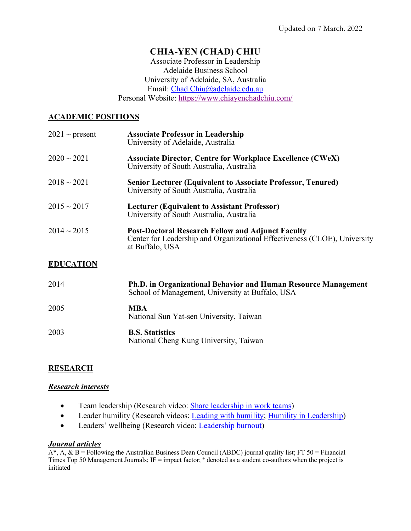# **CHIA-YEN (CHAD) CHIU**

Associate Professor in Leadership Adelaide Business School University of Adelaide, SA, Australia Email: Chad.Chiu@adelaide.edu.au Personal Website: https://www.chiayenchadchiu.com/

## **ACADEMIC POSITIONS**

| $2021 \sim$ present | <b>Associate Professor in Leadership</b><br>University of Adelaide, Australia                                                                            |
|---------------------|----------------------------------------------------------------------------------------------------------------------------------------------------------|
| $2020 \sim 2021$    | <b>Associate Director, Centre for Workplace Excellence (CWeX)</b><br>University of South Australia, Australia                                            |
| $2018 \sim 2021$    | <b>Senior Lecturer (Equivalent to Associate Professor, Tenured)</b><br>University of South Australia, Australia                                          |
| $2015 \sim 2017$    | <b>Lecturer (Equivalent to Assistant Professor)</b><br>University of South Australia, Australia                                                          |
| $2014 \sim 2015$    | <b>Post-Doctoral Research Fellow and Adjunct Faculty</b><br>Center for Leadership and Organizational Effectiveness (CLOE), University<br>at Buffalo, USA |

## **EDUCATION**

| 2014 | <b>Ph.D. in Organizational Behavior and Human Resource Management</b><br>School of Management, University at Buffalo, USA |
|------|---------------------------------------------------------------------------------------------------------------------------|
| 2005 | <b>MBA</b><br>National Sun Yat-sen University, Taiwan                                                                     |
| 2003 | <b>B.S. Statistics</b><br>National Cheng Kung University, Taiwan                                                          |

## **RESEARCH**

### *Research interests*

- Team leadership (Research video: **Share leadership in work teams)**
- Leader humility (Research videos: Leading with humility; Humility in Leadership)
- Leaders' wellbeing (Research video: Leadership burnout)

# *Journal articles*

 $\overline{A^*}, A, \& B =$  Following the Australian Business Dean Council (ABDC) journal quality list; FT 50 = Financial Times Top 50 Management Journals; IF = impact factor; <sup>+</sup> denoted as a student co-authors when the project is initiated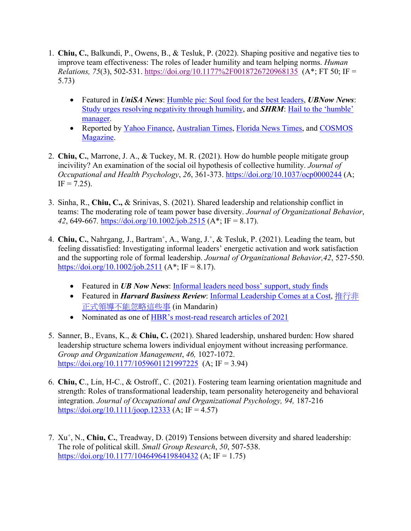- 1. **Chiu, C.**, Balkundi, P., Owens, B., & Tesluk, P. (2022). Shaping positive and negative ties to improve team effectiveness: The roles of leader humility and team helping norms. *Human Relations, 75*(3), 502-531. https://doi.org/10.1177%2F0018726720968135 (A\*; FT 50; IF = 5.73)
	- Featured in *UniSA News*: Humble pie: Soul food for the best leaders, *UBNow News*: Study urges resolving negativity through humility, and *SHRM*: Hail to the 'humble' manager.
	- Reported by Yahoo Finance, Australian Times, Florida News Times, and COSMOS Magazine.
- 2. **Chiu, C.**, Marrone, J. A., & Tuckey, M. R. (2021). How do humble people mitigate group incivility? An examination of the social oil hypothesis of collective humility. *Journal of Occupational and Health Psychology*, *26*, 361-373. https://doi.org/10.1037/ocp0000244 (A;  $IF = 7.25$ ).
- 3. Sinha, R., **Chiu, C.,** & Srinivas, S. (2021). Shared leadership and relationship conflict in teams: The moderating role of team power base diversity. *Journal of Organizational Behavior*, *42*, 649-667*.* https://doi.org/10.1002/job.2515 (A\*; IF = 8.17).
- 4. **Chiu, C.**, Nahrgang, J., Bartram+, A., Wang, J.+, & Tesluk, P. (2021). Leading the team, but feeling dissatisfied: Investigating informal leaders' energetic activation and work satisfaction and the supporting role of formal leadership. *Journal of Organizational Behavior,42*, 527-550. https://doi.org/10.1002/job.2511 ( $A^*$ ; IF = 8.17).
	- Featured in *UB Now News*: Informal leaders need boss' support, study finds
	- Featured in *Harvard Business Review*: Informal Leadership Comes at a Cost, 推行非 正式領導不能忽略這些事 (in Mandarin)
	- Nominated as one of HBR's most-read research articles of 2021
- 5. Sanner, B., Evans, K., & **Chiu, C.** (2021). Shared leadership, unshared burden: How shared leadership structure schema lowers individual enjoyment without increasing performance. *Group and Organization Management*, *46,* 1027-1072. https://doi.org/10.1177/1059601121997225 (A; IF = 3.94)
- 6. **Chiu, C**., Lin, H-C., & Ostroff., C. (2021). Fostering team learning orientation magnitude and strength: Roles of transformational leadership, team personality heterogeneity and behavioral integration. *Journal of Occupational and Organizational Psychology, 94,* 187-216 https://doi.org/10.1111/joop.12333 (A; IF = 4.57)
- 7. Xu+, N., **Chiu, C.**, Treadway, D. (2019) Tensions between diversity and shared leadership: The role of political skill. *Small Group Research*, *50*, 507-538. https://doi.org/10.1177/1046496419840432 (A; IF = 1.75)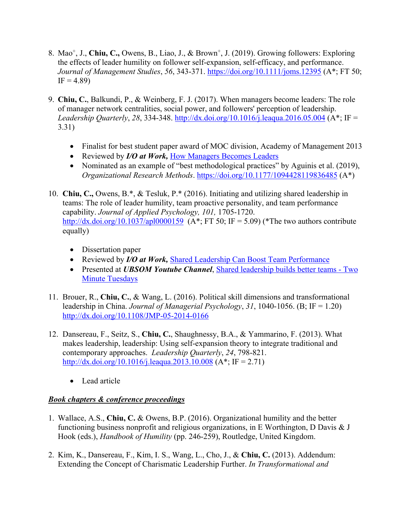- 8. Mao+, J., **Chiu, C.,** Owens, B., Liao, J., & Brown+, J. (2019). Growing followers: Exploring the effects of leader humility on follower self-expansion, self-efficacy, and performance. *Journal of Management Studies*, *56*, 343-371. https://doi.org/10.1111/joms.12395 (A\*; FT 50;  $IF = 4.89$
- 9. **Chiu, C.**, Balkundi, P., & Weinberg, F. J. (2017). When managers become leaders: The role of manager network centralities, social power, and followers' perception of leadership. *Leadership Quarterly*, *28*, 334-348. http://dx.doi.org/10.1016/j.leaqua.2016.05.004 (A\*; IF = 3.31)
	- Finalist for best student paper award of MOC division, Academy of Management 2013
	- Reviewed by *I/O at Work*, How Managers Becomes Leaders
	- Nominated as an example of "best methodological practices" by Aguinis et al. (2019), *Organizational Research Methods*. https://doi.org/10.1177/1094428119836485 (A\*)
- 10. **Chiu, C.,** Owens, B.\*, & Tesluk, P.\* (2016). Initiating and utilizing shared leadership in teams: The role of leader humility, team proactive personality, and team performance capability. *Journal of Applied Psychology, 101,* 1705-1720. http://dx.doi.org/10.1037/apl0000159 (A\*; FT 50; IF = 5.09) (\*The two authors contribute equally)
	- Dissertation paper
	- Reviewed by *I/O at Work,* Shared Leadership Can Boost Team Performance
	- Presented at *UBSOM Youtube Channel*, Shared leadership builds better teams Two Minute Tuesdays
- 11. Brouer, R., **Chiu, C.**, & Wang, L. (2016). Political skill dimensions and transformational leadership in China. *Journal of Managerial Psychology*, *31*, 1040-1056. (B; IF = 1.20) http://dx.doi.org/10.1108/JMP-05-2014-0166
- 12. Dansereau, F., Seitz, S., **Chiu, C.**, Shaughnessy, B.A., & Yammarino, F. (2013). What makes leadership, leadership: Using self-expansion theory to integrate traditional and contemporary approaches. *Leadership Quarterly*, *24*, 798-821. http://dx.doi.org/10.1016/j.leagua.2013.10.008 (A\*; IF = 2.71)
	- Lead article

## *Book chapters & conference proceedings*

- 1. Wallace, A.S., **Chiu, C.** & Owens, B.P. (2016). Organizational humility and the better functioning business nonprofit and religious organizations, in E Worthington, D Davis & J Hook (eds.), *Handbook of Humility* (pp. 246-259), Routledge, United Kingdom.
- 2. Kim, K., Dansereau, F., Kim, I. S., Wang, L., Cho, J., & **Chiu, C.** (2013). Addendum: Extending the Concept of Charismatic Leadership Further. *In Transformational and*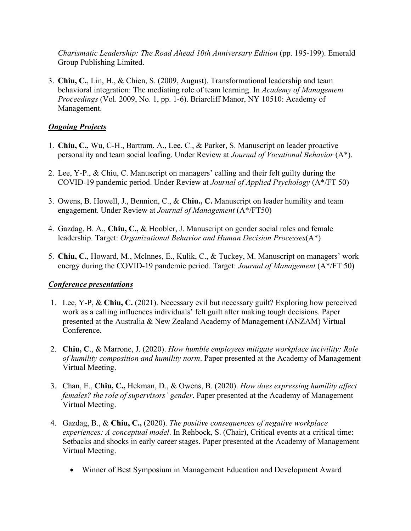*Charismatic Leadership: The Road Ahead 10th Anniversary Edition* (pp. 195-199). Emerald Group Publishing Limited.

3. **Chiu, C.**, Lin, H., & Chien, S. (2009, August). Transformational leadership and team behavioral integration: The mediating role of team learning. In *Academy of Management Proceedings* (Vol. 2009, No. 1, pp. 1-6). Briarcliff Manor, NY 10510: Academy of Management.

## *Ongoing Projects*

- 1. **Chiu, C.**, Wu, C-H., Bartram, A., Lee, C., & Parker, S. Manuscript on leader proactive personality and team social loafing. Under Review at *Journal of Vocational Behavior* (A\*).
- 2. Lee, Y-P., & Chiu, C. Manuscript on managers' calling and their felt guilty during the COVID-19 pandemic period. Under Review at *Journal of Applied Psychology* (A\*/FT 50)
- 3. Owens, B. Howell, J., Bennion, C., & **Chiu., C.** Manuscript on leader humility and team engagement. Under Review at *Journal of Management* (A\*/FT50)
- 4. Gazdag, B. A., **Chiu, C.,** & Hoobler, J. Manuscript on gender social roles and female leadership. Target: *Organizational Behavior and Human Decision Processes*(A\*)
- 5. **Chiu, C.**, Howard, M., Mclnnes, E., Kulik, C., & Tuckey, M. Manuscript on managers' work energy during the COVID-19 pandemic period. Target: *Journal of Management* (A\*/FT 50)

# *Conference presentations*

- 1. Lee, Y-P, & **Chiu, C.** (2021). Necessary evil but necessary guilt? Exploring how perceived work as a calling influences individuals' felt guilt after making tough decisions. Paper presented at the Australia & New Zealand Academy of Management (ANZAM) Virtual Conference.
- 2. **Chiu, C**., & Marrone, J. (2020). *How humble employees mitigate workplace incivility: Role of humility composition and humility norm*. Paper presented at the Academy of Management Virtual Meeting.
- 3. Chan, E., **Chiu, C.,** Hekman, D., & Owens, B. (2020). *How does expressing humility affect females? the role of supervisors' gender*. Paper presented at the Academy of Management Virtual Meeting.
- 4. Gazdag, B., & **Chiu, C.,** (2020). *The positive consequences of negative workplace experiences: A conceptual model*. In Rehbock, S. (Chair), Critical events at a critical time: Setbacks and shocks in early career stages. Paper presented at the Academy of Management Virtual Meeting.
	- Winner of Best Symposium in Management Education and Development Award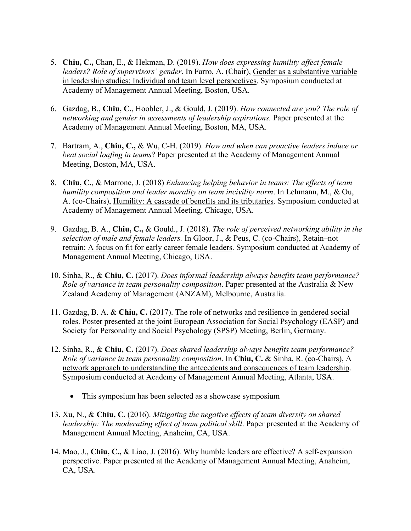- 5. **Chiu, C.,** Chan, E., & Hekman, D. (2019). *How does expressing humility affect female leaders? Role of supervisors' gender*. In Farro, A. (Chair), Gender as a substantive variable in leadership studies: Individual and team level perspectives. Symposium conducted at Academy of Management Annual Meeting, Boston, USA.
- 6. Gazdag, B., **Chiu, C.**, Hoobler, J., & Gould, J. (2019). *How connected are you? The role of networking and gender in assessments of leadership aspirations.* Paper presented at the Academy of Management Annual Meeting, Boston, MA, USA.
- 7. Bartram, A., **Chiu, C.,** & Wu, C-H. (2019). *How and when can proactive leaders induce or beat social loafing in teams*? Paper presented at the Academy of Management Annual Meeting, Boston, MA, USA.
- 8. **Chiu, C.**, & Marrone, J. (2018) *Enhancing helping behavior in teams: The effects of team humility composition and leader morality on team incivility norm*. In Lehmann, M., & Ou, A. (co-Chairs), Humility: A cascade of benefits and its tributaries. Symposium conducted at Academy of Management Annual Meeting, Chicago, USA.
- 9. Gazdag, B. A., **Chiu, C.,** & Gould., J. (2018). *The role of perceived networking ability in the selection of male and female leaders.* In Gloor, J., & Peus, C. (co-Chairs), Retain–not retrain: A focus on fit for early career female leaders. Symposium conducted at Academy of Management Annual Meeting, Chicago, USA.
- 10. Sinha, R., & **Chiu, C.** (2017). *Does informal leadership always benefits team performance? Role of variance in team personality composition*. Paper presented at the Australia & New Zealand Academy of Management (ANZAM), Melbourne, Australia.
- 11. Gazdag, B. A. & **Chiu, C.** (2017). The role of networks and resilience in gendered social roles. Poster presented at the joint European Association for Social Psychology (EASP) and Society for Personality and Social Psychology (SPSP) Meeting, Berlin, Germany.
- 12. Sinha, R., & **Chiu, C.** (2017). *Does shared leadership always benefits team performance? Role of variance in team personality composition*. In **Chiu, C.** & Sinha, R. (co-Chairs), A network approach to understanding the antecedents and consequences of team leadership. Symposium conducted at Academy of Management Annual Meeting, Atlanta, USA.
	- This symposium has been selected as a showcase symposium
- 13. Xu, N., & **Chiu, C.** (2016). *Mitigating the negative effects of team diversity on shared leadership: The moderating effect of team political skill*. Paper presented at the Academy of Management Annual Meeting, Anaheim, CA, USA.
- 14. Mao, J., **Chiu, C.,** & Liao, J. (2016). Why humble leaders are effective? A self-expansion perspective. Paper presented at the Academy of Management Annual Meeting, Anaheim, CA, USA.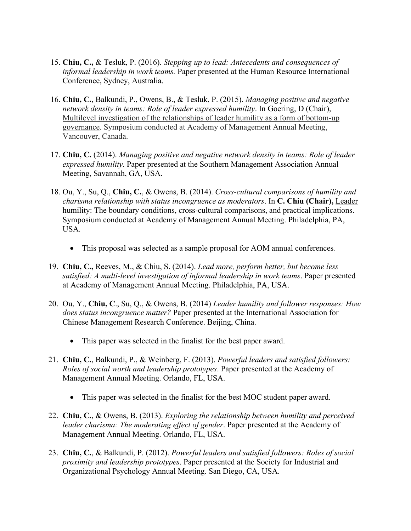- 15. **Chiu, C.,** & Tesluk, P. (2016). *Stepping up to lead: Antecedents and consequences of informal leadership in work teams.* Paper presented at the Human Resource International Conference, Sydney, Australia.
- 16. **Chiu, C.**, Balkundi, P., Owens, B., & Tesluk, P. (2015). *Managing positive and negative network density in teams: Role of leader expressed humility*. In Goering, D (Chair), Multilevel investigation of the relationships of leader humility as a form of bottom-up governance. Symposium conducted at Academy of Management Annual Meeting, Vancouver, Canada.
- 17. **Chiu, C.** (2014). *Managing positive and negative network density in teams: Role of leader expressed humility*. Paper presented at the Southern Management Association Annual Meeting, Savannah, GA, USA.
- 18. Ou, Y., Su, Q., **Chiu, C.**, & Owens, B. (2014). *Cross-cultural comparisons of humility and charisma relationship with status incongruence as moderators*. In **C. Chiu (Chair),** Leader humility: The boundary conditions, cross-cultural comparisons, and practical implications. Symposium conducted at Academy of Management Annual Meeting. Philadelphia, PA, USA.
	- This proposal was selected as a sample proposal for AOM annual conferences*.*
- 19. **Chiu, C.,** Reeves, M., & Chiu, S. (2014). *Lead more, perform better, but become less satisfied: A multi-level investigation of informal leadership in work teams*. Paper presented at Academy of Management Annual Meeting. Philadelphia, PA, USA.
- 20. Ou, Y., **Chiu, C**., Su, Q., & Owens, B. (2014) *Leader humility and follower responses: How does status incongruence matter?* Paper presented at the International Association for Chinese Management Research Conference. Beijing, China.
	- This paper was selected in the finalist for the best paper award.
- 21. **Chiu, C.**, Balkundi, P., & Weinberg, F. (2013). *Powerful leaders and satisfied followers: Roles of social worth and leadership prototypes*. Paper presented at the Academy of Management Annual Meeting. Orlando, FL, USA.
	- This paper was selected in the finalist for the best MOC student paper award.
- 22. **Chiu, C.**, & Owens, B. (2013). *Exploring the relationship between humility and perceived leader charisma: The moderating effect of gender*. Paper presented at the Academy of Management Annual Meeting. Orlando, FL, USA.
- 23. **Chiu, C.**, & Balkundi, P. (2012). *Powerful leaders and satisfied followers: Roles of social proximity and leadership prototypes*. Paper presented at the Society for Industrial and Organizational Psychology Annual Meeting. San Diego, CA, USA.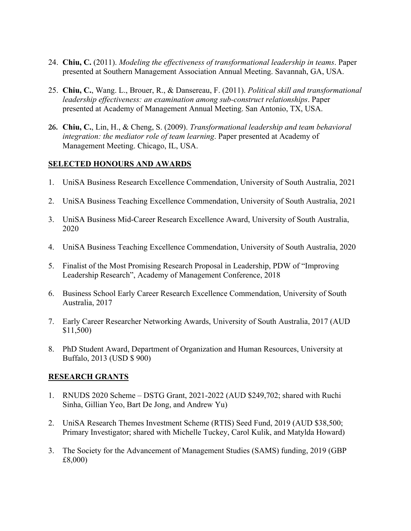- 24. **Chiu, C.** (2011). *Modeling the effectiveness of transformational leadership in teams*. Paper presented at Southern Management Association Annual Meeting. Savannah, GA, USA.
- 25. **Chiu, C.**, Wang. L., Brouer, R., & Dansereau, F. (2011). *Political skill and transformational leadership effectiveness: an examination among sub-construct relationships*. Paper presented at Academy of Management Annual Meeting. San Antonio, TX, USA.
- **26. Chiu, C.**, Lin, H., & Cheng, S. (2009). *Transformational leadership and team behavioral integration: the mediator role of team learning*. Paper presented at Academy of Management Meeting. Chicago, IL, USA.

## **SELECTED HONOURS AND AWARDS**

- 1. UniSA Business Research Excellence Commendation, University of South Australia, 2021
- 2. UniSA Business Teaching Excellence Commendation, University of South Australia, 2021
- 3. UniSA Business Mid-Career Research Excellence Award, University of South Australia, 2020
- 4. UniSA Business Teaching Excellence Commendation, University of South Australia, 2020
- 5. Finalist of the Most Promising Research Proposal in Leadership, PDW of "Improving Leadership Research", Academy of Management Conference, 2018
- 6. Business School Early Career Research Excellence Commendation, University of South Australia, 2017
- 7. Early Career Researcher Networking Awards, University of South Australia, 2017 (AUD \$11,500)
- 8. PhD Student Award, Department of Organization and Human Resources, University at Buffalo, 2013 (USD \$ 900)

## **RESEARCH GRANTS**

- 1. RNUDS 2020 Scheme DSTG Grant, 2021-2022 (AUD \$249,702; shared with Ruchi Sinha, Gillian Yeo, Bart De Jong, and Andrew Yu)
- 2. UniSA Research Themes Investment Scheme (RTIS) Seed Fund, 2019 (AUD \$38,500; Primary Investigator; shared with Michelle Tuckey, Carol Kulik, and Matylda Howard)
- 3. The Society for the Advancement of Management Studies (SAMS) funding, 2019 (GBP £8,000)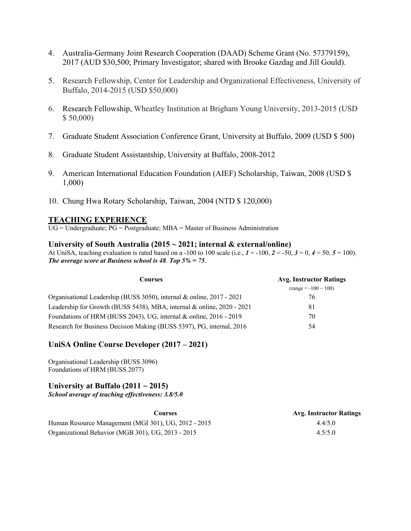- 4. Australia-Germany Joint Research Cooperation (DAAD) Scheme Grant (No. 57379159), 2017 (AUD \$30,500; Primary Investigator; shared with Brooke Gazdag and Jill Gould).
- 5. Research Fellowship, Center for Leadership and Organizational Effectiveness, University of Buffalo, 2014-2015 (USD \$50,000)
- 6. Research Fellowship, Wheatley Institution at Brigham Young University, 2013-2015 (USD \$ 50,000)
- 7. Graduate Student Association Conference Grant, University at Buffalo, 2009 (USD \$ 500)
- 8. Graduate Student Assistantship, University at Buffalo, 2008-2012
- 9. American International Education Foundation (AIEF) Scholarship, Taiwan, 2008 (USD \$ 1,000)
- 10. Chung Hwa Rotary Scholarship, Taiwan, 2004 (NTD \$ 120,000)

#### **TEACHING EXPERIENCE**

 $\overline{UG}$  = Undergraduate; PG = Postgraduate; MBA = Master of Business Administration

#### **University of South Australia (2015 ~ 2021; internal & external/online)**

At UniSA, teaching evaluation is rated based on a -100 to 100 scale (i.e.,  $I = -100$ ,  $2 = -50$ ,  $3 = 0$ ,  $4 = 50$ ,  $5 = 100$ ). *The average score at Business school is 48*. *Top 5% = 75*.

| Courses                                                                | <b>Avg. Instructor Ratings</b> |
|------------------------------------------------------------------------|--------------------------------|
|                                                                        | $(range = -100 \sim 100)$      |
| Organisational Leadership (BUSS 3050), internal & online, 2017 - 2021  | 76                             |
| Leadership for Growth (BUSS 5438), MBA, internal & online, 2020 - 2021 | 81                             |
| Foundations of HRM (BUSS 2043), UG, internal & online, 2016 - 2019     | 70                             |
| Research for Business Decision Making (BUSS 5397), PG, internal, 2016  | 54                             |

### **UniSA Online Course Developer (2017 – 2021)**

Organisational Leadership (BUSS 3096) Foundations of HRM (BUSS 2077)

#### **University at Buffalo (2011 ~ 2015)**

*School average of teaching effectiveness: 3.8/5.0*

| Courses                                              | Avg. Instructor Ratings |
|------------------------------------------------------|-------------------------|
| Human Resource Management (MGI 301), UG, 2012 - 2015 | 4.4/5.0                 |
| Organizational Behavior (MGB 301), UG, 2013 - 2015   | 4.5/5.0                 |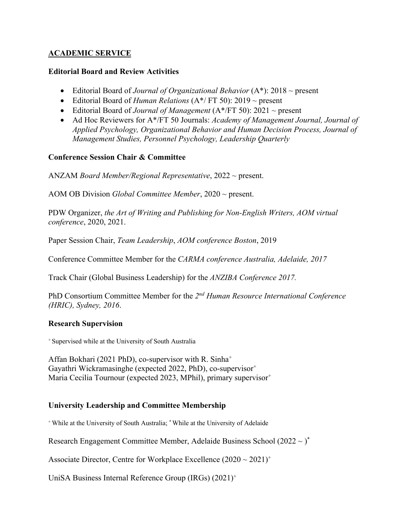## **ACADEMIC SERVICE**

## **Editorial Board and Review Activities**

- Editorial Board of *Journal of Organizational Behavior* (A\*): 2018 ~ present
- Editorial Board of *Human Relations* (A\*/ FT 50): 2019 ~ present
- Editorial Board of *Journal of Management* (A\*/FT 50): 2021 ~ present
- Ad Hoc Reviewers for A\*/FT 50 Journals: *Academy of Management Journal, Journal of Applied Psychology, Organizational Behavior and Human Decision Process, Journal of Management Studies, Personnel Psychology, Leadership Quarterly*

## **Conference Session Chair & Committee**

ANZAM *Board Member/Regional Representative*, 2022 ~ present.

AOM OB Division *Global Committee Member*, 2020 ~ present.

PDW Organizer, *the Art of Writing and Publishing for Non-English Writers, AOM virtual conference*, 2020, 2021.

Paper Session Chair, *Team Leadership*, *AOM conference Boston*, 2019

Conference Committee Member for the *CARMA conference Australia, Adelaide, 2017*

Track Chair (Global Business Leadership) for the *ANZIBA Conference 2017.*

PhD Consortium Committee Member for the *2nd Human Resource International Conference (HRIC), Sydney, 2016*.

### **Research Supervision**

<sup>+</sup> Supervised while at the University of South Australia

Affan Bokhari (2021 PhD), co-supervisor with R. Sinha<sup>+</sup> Gayathri Wickramasinghe (expected 2022, PhD), co-supervisor<sup>+</sup> Maria Cecilia Tournour (expected 2023, MPhil), primary supervisor<sup>+</sup>

## **University Leadership and Committee Membership**

<sup>+</sup> While at the University of South Australia; \* While at the University of Adelaide

Research Engagement Committee Member, Adelaide Business School  $(2022 \sim)^*$ 

Associate Director, Centre for Workplace Excellence  $(2020 \sim 2021)^+$ 

UniSA Business Internal Reference Group  $(IRGs)$   $(2021)^{+}$